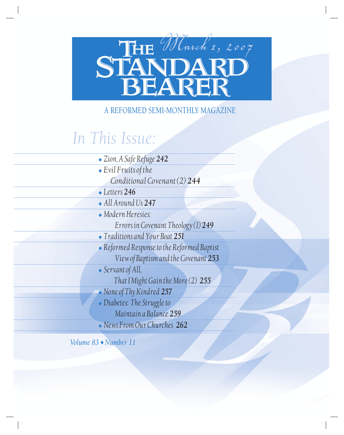# **STANDARD**<br>**STANDARD**

## A REFORMED SEMI-MONTHLY MAGAZINE

# *In This Issue:*

| • Zion, A Safe Refuge 242                   |
|---------------------------------------------|
| $\bullet$ Evil Fruits of the                |
| Conditional Covenant (2) 244                |
| $\textcolor{red}{\bullet}$ Letters 246      |
| $\bullet$ All Around Us 247                 |
| $\bullet$ Modern Heresies:                  |
| Errors in Covenant Theology (1) 249         |
| • Traditions and Your Boat 251              |
| • Reformed Response to the Reformed Baptist |
| View of Baptism and the Covenant 253        |
| $\bullet$ Servant of All,                   |
| That I Might Gain the More (2) 255          |
| • None of Thy Kindred 257                   |
| • Diabetes: The Struggle to                 |
| Maintain a Balance 259                      |
| $\bullet$ News From Our Churches 262        |

*Volume 83* ◆ *Number 11*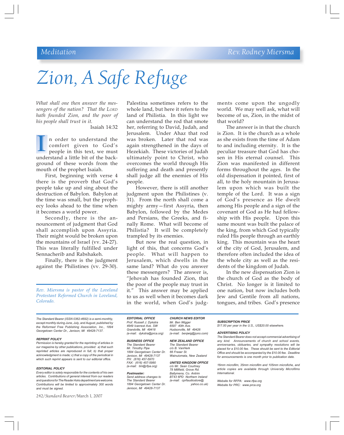## *Meditation Rev. Rodney Miersma*

# *Zion, A Safe Refuge*

*What shall one then answer the messengers of the nation? That the LORD hath founded Zion, and the poor of his people shall trust in it.*

#### Isaiah 14:32

n order to understand the comfort given to God's people in this text, we must I n order to understand the comfort given to God's<br>people in this text, we must<br>understand a little bit of the background of these words from the mouth of the prophet Isaiah.

First, beginning with verse 4 there is the proverb that God's people take up and sing about the destruction of Babylon. Babylon at the time was small, but the prophecy looks ahead to the time when it becomes a world power.

Secondly, there is the announcement of judgment that God shall accomplish upon Assyria. Their might would be broken upon the mountains of Israel (vv. 24-27). This was literally fulfilled under Sennacherib and Rabshakeh.

Finally, there is the judgment against the Philistines (vv. 29-30).

*Rev. Miersma is pastor of the Loveland Protestant Reformed Church in Loveland, Colorado.*

*The Standard Bearer (ISSN 0362-4692) is a semi-monthly, except monthly during June, July, and August, published by the Reformed Free Publishing Association, Inc., 1894 Georgetown Center Dr., Jenison, MI 49428-7137.*

#### **REPRINT POLICY**

*Permission is hereby granted for the reprinting of articles in our magazine by other publications, provided: a) that such reprinted articles are reproduced in full; b) that proper acknowledgment is made; c) that a copy of the periodical in which such reprint appears is sent to our editorial office.*

#### **EDITORIAL POLICY**

*Every editor is solely responsible for the contents of his own articles. Contributions of general interest from our readers and questions for The Reader Asks department are welcome. Contributions will be limited to approximately 300 words and must be signed.*

242/*Standard Bearer*/March 1, 2007

Palestina sometimes refers to the whole land, but here it refers to the land of Philistia. In this light we can understand the rod that smote her, referring to David, Judah, and Jerusalem. Under Ahaz that rod was broken. Later that rod was again strengthened in the days of Hezekiah. These victories of Judah ultimately point to Christ, who overcomes the world through His suffering and death and presently shall judge all the enemies of His people.

However, there is still another judgment upon the Philistines (v. 31). From the north shall come a mighty army—first Assyria, then Babylon, followed by the Medes and Persians, the Greeks, and finally Rome. What will become of Philistia? It will be completely trampled by its enemies.

But now the real question, in light of this, that concerns God's people. What will happen to Jerusalem, which dwells in the same land? What do you answer these messengers? The answer is, "Jehovah has founded Zion, that the poor of the people may trust in it." This answer may be applied to us as well when it becomes dark in the world, when God's judgments come upon the ungodly world. We may well ask, what will become of us, Zion, in the midst of that world?

The answer is in that the church is Zion. It is the church as a whole as she exists from the time of Adam to and including eternity. It is the peculiar treasure that God has chosen in His eternal counsel. This Zion was manifested in different forms throughout the ages. In the old dispensation it pointed, first of all, to the holy mountain in Jerusalem upon which was built the temple of the Lord. It was a sign of God's presence as He dwelt among His people and a sign of the covenant of God as He had fellowship with His people. Upon this same mount was built the palace of the king, from which God typically ruled His people through an earthly king. This mountain was the heart of the city of God, Jerusalem, and therefore often included the idea of the whole city as well as the residents of the kingdom of Judah.

In the new dispensation Zion is the church of God as the body of Christ. No longer is it limited to one nation, but now includes both Jew and Gentile from all nations, tongues, and tribes. God's presence

**EDITORIAL OFFICE CHURCH NEWS EDITOR** *Prof. Russell J. Dykstra Mr. Ben Wigger* 4949 Ivanrest Ave. SW *Grandville, MI 49418 Hudsonville, MI 49426 (e-mail: dykstra@prca.org) (e-mail: benjwig@juno.com)*

*The Standard Bearer The Standard Mr. Timothy Pipe c/o B. VanHerkandard Bearer C/o B. VanHerkand Georgetown Center Dr. 66 Fraser St. 1894 Georgetown Center Dr. 66 Fraser St. Jenison, MI 49428-7137 Wainuiomata, New Zealand PH: (616) 457-5970 (e-mail: tim@rfpa.org)* 

1894 Georgetown Center Dr. *Jenison, MI 49428-7137*

**BUSINESS OFFICE NEW ZEALAND OFFICE** *The Standard Bearer*<br>*c*/o *B. VanHerk* 

*FAX: (616) 457-5980* **UNITED KINGDOM OFFICE** *78 Millfield, Grove Rd.* **Postmaster:** *Ballymena, Co. Antrim Send address changes to BT43 6PD**Northern Ireland The Standard Bearer (e-mail: cprfaudiostore@*

**SUBSCRIPTION PRICE**

*\$17.00 per year in the U.S., US\$20.00 elsewhere.*

#### **ADVERTISING POLICY**

*The Standard Bearer does not accept commercial advertising of any kind. Announcements of church and school events, anniversaries, obituaries, and sympathy resolutions will be placed for a \$10.00 fee. These should be sent to the Editorial Office and should be accompanied by the \$10.00 fee. Deadline for announcements is one month prior to publication date.*

*16mm microfilm, 35mm microfilm and 105mm microfiche, and article copies are available through University Microfilms International.*

*Website for RFPA: www.rfpa.org Website for PRC: www.prca.org*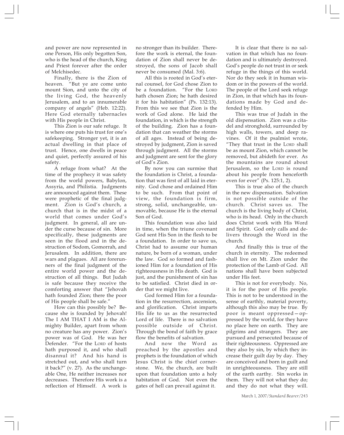and power are now represented in one Person, His only begotten Son, who is the head of the church, King and Priest forever after the order of Melchisedec.

Finally, there is the Zion of heaven. "But ye are come unto mount Sion, and unto the city of the living God, the heavenly Jerusalem, and to an innumerable company of angels" (Heb. 12:22). Here God eternally tabernacles with His people in Christ.

This Zion is our safe refuge. It is where one puts his trust for one's safekeeping. Stronger yet, it is an actual dwelling in that place of trust. Hence, one dwells in peace and quiet, perfectly assured of his safety.

A refuge from what? At the time of the prophecy it was safety from the world powers, Babylon, Assyria, and Philistia. Judgments are announced against them. These were prophetic of the final judgment. Zion is God's church, a church that is in the midst of a world that comes under God's judgment. In general, all are under the curse because of sin. More specifically, these judgments are seen in the flood and in the destruction of Sodom, Gomorrah, and Jerusalem. In addition, there are wars and plagues. All are forerunners of the final judgment of the entire world power and the destruction of all things. But Judah is safe because they receive the comforting answer that "Jehovah hath founded Zion; there the poor of His people shall be safe."

How can this possibly be? Because she is founded by Jehovah! The I AM THAT I AM is the Almighty Builder, apart from whom no creature has any power. Zion's power was of God. He was her Defender. "For the LORD of hosts hath purposed it, and who shall disannul it? And his hand is stretched out, and who shall turn it back?" (v. 27). As the unchangeable One, He neither increases nor decreases. Therefore His work is a reflection of Himself. A work is

no stronger than its builder. Therefore the work is eternal, the foundation of Zion shall never be destroyed, the sons of Jacob shall never be consumed (Mal. 3:6).

All this is rooted in God's eternal counsel, for God chose Zion to be a foundation. "For the LORD hath chosen Zion; he hath desired it for his habitation" (Ps. 132:13). From this we see that Zion is the work of God alone. He laid the foundation, in which is the strength of the building. Zion has a foundation that can weather the storms of all ages. Instead of being destroyed by judgment, Zion is saved through judgment. All the storms and judgment are sent for the glory of God's Zion.

By now you can surmise that the foundation is Christ, a foundation that was first of all laid in eternity. God chose and ordained Him to be such. From that point of view, the foundation is firm, strong, solid, unchangeable, unmovable, because He is the eternal Son of God.

This foundation was also laid in time, when the triune covenant God sent His Son in the flesh to be a foundation. In order to save us, Christ had to assume our human nature, be born of a woman, under the law. God so formed and fashioned Him for a foundation of His righteousness in His death. God is just, and the punishment of sin has to be satisfied. Christ died in order that we might live.

God formed Him for a foundation in the resurrection, ascension, and glorification. Christ imparts His life to us as the resurrected Lord of life. There is no salvation possible outside of Christ. Through the bond of faith by grace flow the benefits of salvation.

And now the Word as preached by the apostles and prophets is the foundation of which Jesus Christ is the chief cornerstone. We, the church, are built upon that foundation unto a holy habitation of God. Not even the gates of hell can prevail against it.

It is clear that there is no salvation in that which has no foundation and is ultimately destroyed. God's people do not trust in or seek refuge in the things of this world. Nor do they seek it in human wisdom or in the powers of the world. The people of the Lord seek refuge in Zion, in that which has its foundations made by God and defended by Him.

This was true of Judah in the old dispensation. Zion was a citadel and stronghold, surrounded by high walls, towers, and deep ravines. Of it the psalmist wrote, "They that trust in the LORD shall be as mount Zion, which cannot be removed, but abideth for ever. As the mountains are round about Jerusalem, so the LORD is round about his people from henceforth even for ever" (Ps. 125:1, 2).

This is true also of the church in the new dispensation. Salvation is not possible outside of the church. Christ saves us. The church is the living body of Christ, who is its head. Only in the church does Christ work with His Word and Spirit. God only calls and delivers through the Word in the church.

And finally this is true of the church in eternity. The redeemed shall live on Mt. Zion under the protection of the Lamb of God. All nations shall have been subjected under His feet.

This is not for everybody. No, it is for the poor of His people. This is not to be understood in the sense of earthly, material poverty, although this also may be true. By poor is meant oppressed—oppressed by the world, for they have no place here on earth. They are pilgrims and strangers. They are pursued and persecuted because of their righteousness. Oppressed are they also by sin, by which they increase their guilt day by day. They are conceived and born in guilt and in unrighteousness. They are still of the earth earthy. Sin works in them. They will not what they do; and they do not what they will.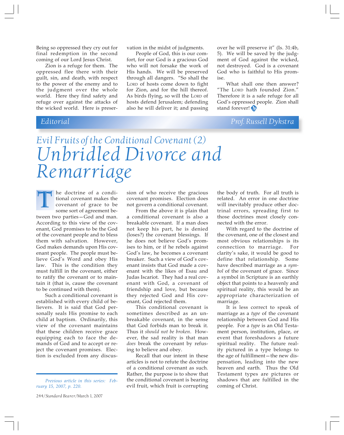Being so oppressed they cry out for final redemption in the second coming of our Lord Jesus Christ.

Zion is a refuge for them. The oppressed flee there with their guilt, sin, and death, with respect to the power of the enemy and to the judgment over the whole world. Here they find safety and refuge over against the attacks of the wicked world. Here is preservation in the midst of judgments.

People of God, this is our comfort, for our God is a gracious God who will not forsake the work of His hands. We will be preserved through all dangers. "So shall the LORD of hosts come down to fight for Zion, and for the hill thereof. As birds flying, so will the LORD of hosts defend Jerusalem; defending also he will deliver it; and passing

over he will preserve it" (Is. 31:4b, 5). We will be saved by the judgment of God against the wicked, not destroyed. God is a covenant God who is faithful to His promise.

What shall one then answer? "The LORD hath founded Zion." Therefore it is a safe refuge for all God's oppressed people. Zion shall stand forever!

## *Editorial Prof. Russell Dykstra*

# *Evil Fruits of the Conditional Covenant (2) Unbridled Divorce and Remarriage*

he doctrine of a conditional covenant makes the covenant of grace to be some sort of agreement between two parties—God and man. According to this view of the covenant, God promises to be the God of the covenant people and to bless them with salvation. However, God makes demands upon His covenant people. The people must believe God's Word and obey His law. This is the condition they must fulfill in the covenant, either to ratify the covenant or to maintain it (that is, cause the covenant to be continued with them). T

Such a conditional covenant is established with every child of believers. It is said that God personally seals His promise to each child at baptism. Ordinarily, this view of the covenant maintains that these children receive grace equipping each to face the demands of God and to accept or reject the covenant promises. Election is excluded from any discus-

sion of who receive the gracious covenant promises. Election does not govern a conditional covenant.

From the above it is plain that a conditional covenant is also a breakable covenant. If a man does not keep his part, he is denied (loses?) the covenant blessings. If he does not believe God's promises to him, or if he rebels against God's law, he becomes a covenant breaker. Such a view of God's covenant insists that God made a covenant with the likes of Esau and Judas Iscariot. They had a real covenant with God, a covenant of friendship and love, but because they rejected God and His covenant, God rejected them.

This conditional covenant is sometimes described as an unbreakable covenant, in the sense that God forbids man to break it. Thus it *should not be broken*. However, the sad reality is that man *does* break the covenant by refusing to believe and obey.

Recall that our intent in these articles is not to refute the doctrine of a conditional covenant as such. Rather, the purpose is to show that the conditional covenant is bearing evil fruit, which fruit is corrupting the body of truth. For all truth is related. An error in one doctrine will inevitably produce other doctrinal errors, spreading first to those doctrines most closely connected with the error.

With regard to the doctrine of the covenant, one of the closest and most obvious relationships is its connection to marriage. For clarity's sake, it would be good to define that relationship. Some have described marriage as a *symbol* of the covenant of grace. Since a symbol in Scripture is an earthly object that points to a heavenly and spiritual reality, this would be an appropriate characterization of marriage.

It is less correct to speak of marriage as a *type* of the covenant relationship between God and His people. For a *type* is an Old Testament person, institution, place, or event that foreshadows a future spiritual reality. The future reality pictured in a type belongs to the age of fulfillment—the new dispensation, leading into the new heaven and earth. Thus the Old Testament types are pictures or shadows that are fulfilled in the coming of Christ.

*Previous article in this series: February 15, 2007, p. 220.*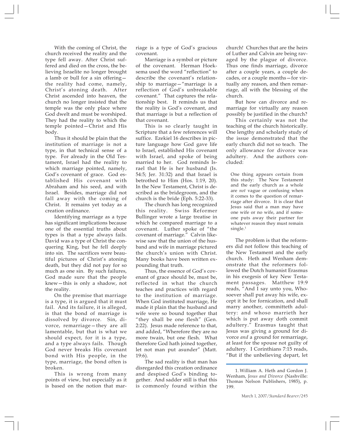With the coming of Christ, the church received the reality and the type fell away. After Christ suffered and died on the cross, the believing Israelite no longer brought a lamb or bull for a sin offering the reality had come, namely, Christ's atoning death. After Christ ascended into heaven, the church no longer insisted that the temple was the only place where God dwelt and must be worshiped. They had the reality to which the temple pointed—Christ and His body.

Thus it should be plain that the institution of marriage is not a type, in that technical sense of a type. For already in the Old Testament, Israel had the reality to which marriage pointed, namely, God's covenant of grace. God established His covenant with Abraham and his seed, and with Israel. Besides, marriage did not fall away with the coming of Christ. It remains yet today as a creation ordinance.

Identifying marriage as a type has significant implications because one of the essential truths about types is that a type always fails. David was a type of Christ the conquering King, but he fell deeply into sin. The sacrifices were beautiful pictures of Christ's atoning death, but they did not pay for so much as one sin. By such failures, God made sure that the people knew—this is only a shadow, not the reality.

On the premise that marriage is a type, it is argued that it must fail. And its failure, it is alleged, is that the bond of marriage is dissolved by divorce. Sin, divorce, remarriage—they are all lamentable, but that is what we should expect, for it is a type, and a type always fails. Though God never breaks His covenant bond with His people, in the type, marriage, the bond often is broken.

This is wrong from many points of view, but especially as it is based on the notion that marriage is a type of God's gracious covenant.

Marriage is a symbol or picture of the covenant. Herman Hoeksema used the word "reflection" to describe the covenant's relationship to marriage—"marriage is a reflection of God's unbreakable covenant." That captures the relationship best. It reminds us that the reality is God's covenant, and that marriage is but a reflection of that covenant.

This is so clearly taught in Scripture that a few references will suffice. Ezekiel 16 describes in picture language how God gave life to Israel, established His covenant with Israel, and spoke of being married to her. God reminds Israel that He is her husband (Is. 54:5; Jer. 31:32) and that Israel is betrothed to Him (Hos. 1:19, 20). In the New Testament, Christ is described as the bridegroom, and the church is the bride (Eph. 5:22-33).

The church has long recognized this reality. Swiss Reformer Bullinger wrote a large treatise in which he compared marriage to a covenant. Luther spoke of "the covenant of marriage." Calvin likewise saw that the union of the husband and wife in marriage pictured the church's union with Christ. Many books have been written expounding that truth.

Thus, the essence of God's covenant of grace should be, must be, reflected in what the church teaches and practices with regard to the institution of marriage. When God instituted marriage, He made it plain that the husband and wife were so bound together that "they shall be one flesh" (Gen. 2:22). Jesus made reference to that, and added, "Wherefore they are no more twain, but one flesh. What therefore God hath joined together, let not man put asunder" (Matt. 19:6).

The sad reality is that man has disregarded this creation ordinance and despised God's binding together. And sadder still is that this is commonly found within the church! Churches that are the heirs of Luther and Calvin are being ravaged by the plague of divorce. Thus one finds marriage, divorce after a couple years, a couple decades, or a couple months—for virtually any reason, and then remarriage, all with the blessing of the church.

But how can divorce and remarriage for virtually any reason possibly be justified in the church?

This certainly was not the teaching of the church historically. One lengthy and scholarly study of the issue demonstrated that the early church did not so teach. The only allowance for divorce was adultery. And the authors concluded:

One thing appears certain from this study: The New Testament and the early church as a whole are *not* vague or confusing when it comes to the question of remarriage after divorce. It is clear that Jesus said that a man may have one wife or no wife, and if someone puts away their partner for whatever reason they must remain single.<sup>1</sup>

The problem is that the reformers did not follow this teaching of the New Testament and the early church. Heth and Wenham demonstrate that the reformers followed the Dutch humanist Erasmus in his exegesis of key New Testament passages. Matthew 19:9 reads, "And I say unto you, Whosoever shall put away his wife, except it be for fornication, and shall marry another, committeth adultery: and whoso marrieth her which is put away doth commit adultery." Erasmus taught that Jesus was giving a ground for divorce *and* a ground for remarriage, at least for the spouse not guilty of adultery. I Corinthians 7:15 reads, "But if the unbelieving depart, let

<sup>1.</sup> William A. Heth and Gordon J. Wenham, *Jesus and Divorce* (Nashville: Thomas Nelson Publishers, 1985), p. 199.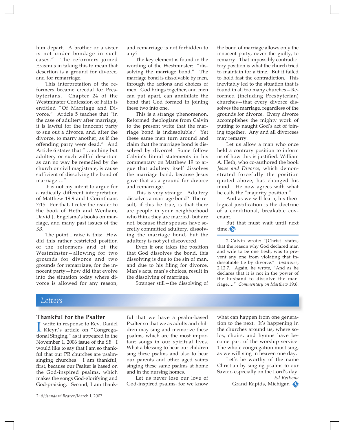him depart. A brother or a sister is not under bondage in such cases." The reformers joined Erasmus in taking this to mean that desertion is a ground for divorce, and for remarriage.

This interpretation of the reformers became creedal for Presbyterians. Chapter 24 of the Westminster Confession of Faith is entitled "Of Marriage and Divorce." Article 5 teaches that "in the case of adultery after marriage, it is lawful for the innocent party to sue out a divorce, and, after the divorce, to marry another, as if the offending party were dead." And Article 6 states that "…nothing but adultery or such willful desertion as can no way be remedied by the church or civil magistrate, is cause sufficient of dissolving the bond of marriage…."

It is not my intent to argue for a radically different interpretation of Matthew 19:9 and I Corinthians 7:15. For that, I refer the reader to the book of Heth and Wenham, David J. Engelsma's books on marriage, and many past issues of the *SB*.

The point I raise is this: How did this rather restricted position of the reformers and of the Westminster—allowing for two grounds for divorce and two grounds for remarriage, for the innocent party—how did that evolve into the situation today where divorce is allowed for any reason,

and remarriage is not forbidden to any?

The key element is found in the wording of the Westminster: "dissolving the marriage bond." The marriage bond is dissolvable by men, through the actions and choices of men. God brings together, and men can put apart, can annihilate the bond that God formed in joining these two into one.

This is a strange phenomenon. Reformed theologians from Calvin to the present write that the marriage bond is indissoluble.2 Yet these same men turn around and claim that the marriage bond is dissolved by divorce! Some follow Calvin's literal statements in his commentary on Matthew 19 to argue that adultery itself dissolves the marriage bond, because Jesus gave that as a ground for divorce and remarriage.

This is very strange. Adultery dissolves a marriage bond? The result, if this be true, is that there are people in your neighborhood who think they are married, but are not, because their spouses have secretly committed adultery, dissolving the marriage bond, but the adultery is not yet discovered.

Even if one takes the position that God dissolves the bond, this dissolving is due to the sin of man, and due to his filing for divorce. Man's acts, man's choices, result in the dissolving of marriage.

Stranger still—the dissolving of

the bond of marriage allows only the innocent party, never the guilty, to remarry. That impossibly contradictory position is what the church tried to maintain for a time. But it failed to hold fast the contradiction. This inevitably led to the situation that is found in all too many churches—Reformed (including Presbyterian) churches—that every divorce dissolves the marriage, regardless of the grounds for divorce. Every divorce accomplishes the mighty work of putting to naught God's act of joining together. Any and all divorcees may remarry.

Let us allow a man who once held a contrary position to inform us of how this is justified. William A. Heth, who co-authored the book *Jesus and Divorce*, which demonstrated forcefully the position quoted above, has changed his mind. He now agrees with what he calls the "majority position."

And as we will learn, his theological justification is the doctrine of a conditional, breakable covenant.

But that must wait until next time.

2. Calvin wrote: "[Christ] states, that the reason why God declared man and wife to be one flesh, was to prevent any one from violating that indissoluble tie by divorce." *Institutes*, 2.12.7. Again, he wrote, "And as he declares that it is not in the power of the husband to dissolve the marriage…." *Commentary on Matthew* 19:6.

#### *Letters*

#### **Thankful for the Psalter**

I write in response to Rev. Daniel<br>Kleyn's article on "Congrega-<br>tional Singing," as it appeared in the write in response to Rev. Daniel Kleyn's article on "Congrega-November 1, 2006 issue of the *SB.* I would like to say that I am so thankful that our PR churches are psalmsinging churches. I am thankful, first, because our Psalter is based on the God-inspired psalms, which makes the songs God-glorifying and God-praising. Second, I am thankful that we have a psalm-based Psalter so that we as adults and children may sing and memorize these psalms, which are the most important songs in our spiritual lives. What a blessing to hear our children sing these psalms and also to hear our parents and other aged saints singing these same psalms at home and in the nursing homes.

Let us never lose our love of God-inspired psalms, for we know

what can happen from one generation to the next. It's happening in the churches around us, where solos, choirs, and hymns have become part of the worship service. The whole congregation must sing, as we will sing in heaven one day.

Let's be worthy of the name Christian by singing psalms to our Savior, especially on the Lord's day. *Ed Reitsma*

Grand Rapids, Michigan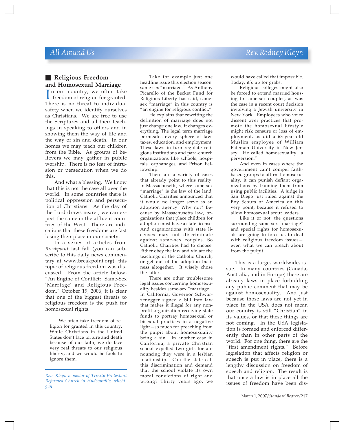## **Religious Freedom and Homosexual Marriage**

In our country, we often take<br>freedom of religion for granted.<br>There is no threat to individual freedom of religion for granted. There is no threat to individual safety when we identify ourselves as Christians. We are free to use the Scriptures and all their teachings in speaking to others and in showing them the way of life and the way of sin and death. In our homes we may teach our children from the Bible. As groups of believers we may gather in public worship. There is no fear of intrusion or persecution when we do this.

And what a blessing. We know that this is not the case all over the world. In some countries there is political oppression and persecution of Christians. As the day of the Lord draws nearer, we can expect the same in the affluent countries of the West. There are indications that these freedoms are fast losing their place in our society.

In a series of articles from *Breakpoint* last fall (you can subscribe to this daily news commentary at <u>www.breakpoint.org</u>), this topic of religious freedom was discussed. From the article below, "An Engine of Conflict: Same-Sex 'Marriage' and Religious Freedom," October 19, 2006, it is clear that one of the biggest threats to religious freedom is the push for homosexual rights.

We often take freedom of religion for granted in this country. While Christians in the United States don't face torture and death because of our faith, we do face very real threats to our religious liberty, and we would be fools to ignore them.

*Rev. Kleyn is pastor of Trinity Protestant Reformed Church in Hudsonville, Michigan.*

Take for example just one headline issue this election season: same-sex "marriage." As Anthony Picarello of the Becket Fund for Religious Liberty has said, samesex "marriage" in this country is "an engine for religious conflict."

He explains that rewriting the definition of marriage does not just change one law, it changes everything. The legal term marriage permeates every sphere of law: taxes, education, and employment. These laws in turn regulate religious institutions and para-church organizations like schools, hospitals, orphanages, and Prison Fellowship.

There are a variety of cases that already point to this reality. In Massachusetts, where same-sex "marriage" is the law of the land, Catholic Charities announced that it would no longer serve as an adoption agency. Why not? Because by Massachusetts law, organizations that place children for adoption must have a state license. And organizations with state licenses may not discriminate against same-sex couples. So Catholic Charities had to choose: Either obey the law and violate the teachings of the Catholic Church, or get out of the adoption business altogether. It wisely chose the latter.

There are other troublesome legal issues concerning homosexuality besides same-sex "marriage." In California, Governor Schwarzenegger signed a bill into law that makes it illegal for any nonprofit organization receiving state funds to portray homosexual or bisexual practices in a negative light—so much for preaching from the pulpit about homosexuality being a sin. In another case in California, a private Christian school expelled two girls for announcing they were in a lesbian relationship. Can the state call this discrimination and demand that the school violate its own moral convictions of right and wrong? Thirty years ago, we would have called that impossible. Today, it's up for grabs.

Religious colleges might also be forced to extend married housing to same-sex couples, as was the case in a recent court decision involving a Jewish university in New York. Employees who voice dissent over practices that promote the homosexual lifestyle might risk censure or loss of employment, as did a 63-year-old Muslim employee of William Paterson University in New Jersey. He called homosexuality "a perversion."

And even in cases where the government can't compel faithbased groups to affirm homosexuality, it can punish defiant organizations by banning them from using public facilities. A judge in San Diego just ruled against the Boy Scouts of America on this very point, because it refused to allow homosexual scout leaders.

Like it or not, the questions surrounding same-sex "marriage" and special rights for homosexuals are going to force us to deal with religious freedom issues even what we can preach about from the pulpit.

This is a large, worldwide, issue. In many countries (Canada, Australia, and in Europe) there are already laws in place forbidding any public comment that may be against homosexuality. And just because those laws are not yet in place in the USA does not mean our country is still "Christian" in its values, or that these things are not coming. In the USA legislation is formed and enforced differently than in other parts of the world. For one thing, there are the "first amendment rights." Before legislation that affects religion or speech is put in place, there is a lengthy discussion on freedom of speech and religion. The result is that once a law is in place all the issues of freedom have been dis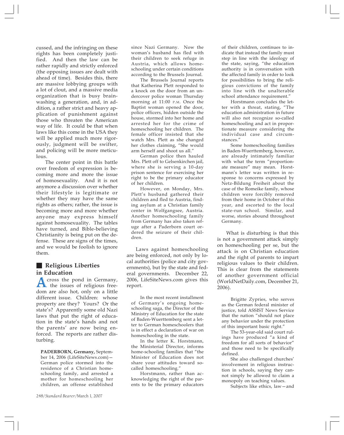cussed, and the infringing on these rights has been completely justified. And then the law can be rather rapidly and strictly enforced (the opposing issues are dealt with ahead of time). Besides this, there are massive lobbying groups with a lot of clout, and a massive media organization that is busy brainwashing a generation, and, in addition, a rather strict and heavy application of punishment against those who threaten the American way of life. It could be that when laws like this come in the USA they will be applied much more rigorously, judgment will be swifter, and policing will be more meticulous.

The center point in this battle over freedom of expression is becoming more and more the issue of homosexuality. And it is not anymore a discussion over whether their lifestyle is legitimate or whether they may have the same rights as others; rather, the issue is becoming more and more whether anyone may express himself against homosexuality. The tables have turned, and Bible-believing Christianity is being put on the defense. These are signs of the times, and we would be foolish to ignore them.

#### **Religious Liberties in Education**

A cross the pond in Germany,<br>the issues of religious free-<br>dom are also bet only on a little dom are also hot, only on a little different issue. Children: whose property are they? Yours? Or the state's? Apparently some old Nazi laws that put the right of education in the state's hands and not the parents' are now being enforced. The reports are rather disturbing.

**PADERBORN, Germany,** September 14, 2006 (LifeSiteNews.com)— German police stormed into the residence of a Christian homeschooling family, and arrested a mother for homeschooling her children, an offense established since Nazi Germany. Now the woman's husband has fled with their children to seek refuge in Austria, which allows homeschooling under certain conditions according to the Brussels Journal.

The Brussels Journal reports that Katherina Plett responded to a knock on the door from an undercover police woman Thursday morning at 11:00 P.M. Once the Baptist woman opened the door, police officers, hidden outside the house, stormed into her home and arrested her for the crime of homeschooling her children. The female officer insisted that she watch Mrs. Plett as she changed her clothes claiming, "She would arm herself and shoot us all."

German police then hauled Mrs. Plett off to Gelsenkirchen jail, where she is serving a 10-day prison sentence for exercising her right to be the primary educator of her children.

However, on Monday, Mrs. Plett's husband gathered their children and fled to Austria, finding asylum at a Christian family center in Wolfgangsee, Austria. Another homeschooling family from Germany has also taken refuge after a Paderborn court ordered the seizure of their children.

Laws against homeschooling are being enforced, not only by local authorities (police and city governments), but by the state and federal governments. December 22, 2006, LifeSiteNews.com gives this report.

In the most recent installment of Germany's ongoing homeschooling saga, the Director of the Ministry of Education for the state of Baden-Wuerttemberg sent a letter to German homeschoolers that is in effect a declaration of war on homeschooling in the state.

In the letter K. Horstmann, the Ministerial Director, informs home-schooling families that "the Minister of Education does not share your attitudes toward socalled homeschooling."

Horstmann, rather than acknowledging the right of the parents to be the primary educators of their children, continues to indicate that instead the family must step in line with the ideology of the state, saying, "the education authority is in conversation with the affected family in order to look for possibilities to bring the religious convictions of the family into line with the unalterable school attendance requirement."

Horstmann concludes the letter with a threat, stating, "The education administration in future will also not recognize so-called homeschooling and act in proportionate measure considering the individual case and circumstances."

Some homeschooling families in Baden-Wuerttemberg, however, are already intimately familiar with what the term "proportionate measure" may mean. Horstmann's letter was written in response to concerns expressed by Netz-Bildung Freiheit about the case of the Romeike family, whose children were forcibly removed from their home in October of this year, and escorted to the local state-run school. Similar, and worse, stories abound throughout Germany.

What is disturbing is that this is not a government attack simply on homeschooling per se, but the attack is on Christian education and the right of parents to impart religious values to their children. This is clear from the statements of another government official (WorldNetDaily.com, December 21, 2006).

Brigitte Zypries, who serves as the German federal minister of justice, told ASSIST News Service that the nation "should not place any behavior under the protection of this important basic right."

The 53-year-old said court rulings have produced "a kind of freedom for all sorts of behavior" and those need to be specifically defined.

She also challenged churches' involvement in religious instruction in schools, saying they cannot simply be allowed to claim a monopoly on teaching values.

Subjects like ethics, law—and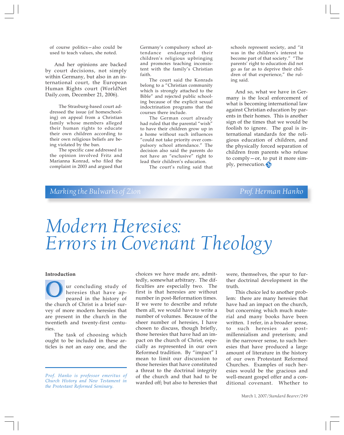of course politics—also could be used to teach values, she noted.

And her opinions are backed by court decisions, not simply within Germany, but also in an international court, the European Human Rights court (WorldNet Daily.com, December 21, 2006).

The Strasburg-based court addressed the issue (of homeschooling) on appeal from a Christian family whose members alleged their human rights to educate their own children according to their own religious beliefs are being violated by the ban.

The specific case addressed in the opinion involved Fritz and Marianna Konrad, who filed the complaint in 2003 and argued that Germany's compulsory school attendance endangered their children's religious upbringing and promotes teaching inconsistent with the family's Christian faith.

The court said the Konrads belong to a "Christian community which is strongly attached to the Bible" and rejected public schooling because of the explicit sexual indoctrination programs that the courses there include.

The German court already had ruled that the parental "wish" to have their children grow up in a home without such influences "could not take priority over compulsory school attendance." The decision also said the parents do not have an "exclusive" right to lead their children's education.

The court's ruling said that

schools represent society, and "it was in the children's interest to become part of that society." "The parents' right to education did not go as far as to deprive their children of that experience," the ruling said.

And so, what we have in Germany is the local enforcement of what is becoming international law against Christian education by parents in their homes. This is another sign of the times that we would be foolish to ignore. The goal is international standards for the religious education of children, and the physically forced separation of children from parents who refuse to comply—or, to put it more simply, persecution.

#### *Marking the Bulwarks of Zion* Prof. Herman Hanko

# *Modern Heresies: Errors in Covenant Theology*

#### **Introduction**

ur concluding study of heresies that have appeared in the history of Our concluding study of<br>
heresies that have ap-<br>
peared in the history of<br>
the church of Christ is a brief survey of more modern heresies that are present in the church in the twentieth and twenty-first centuries.

The task of choosing which ought to be included in these articles is not an easy one, and the choices we have made are, admittedly, somewhat arbitrary. The difficulties are especially two. The first is that heresies are without number in post-Reformation times. If we were to describe and refute them all, we would have to write a number of volumes. Because of the sheer number of heresies, I have chosen to discuss, though briefly, those heresies that have had an impact on the church of Christ, especially as represented in our own Reformed tradition. By "impact" I mean to limit our discussion to those heresies that have constituted a threat to the doctrinal integrity of the church and that had to be warded off; but also to heresies that

were, themselves, the spur to further doctrinal development in the truth.

This choice led to another problem: there are many heresies that have had an impact on the church, but concerning which much material and many books have been written. I refer, in a broader sense, to such heresies as postmillennialism and preterism; and in the narrower sense, to such heresies that have produced a large amount of literature in the history of our own Protestant Reformed Churches. Examples of such heresies would be the gracious and well-meant gospel offer and a conditional covenant. Whether to

*Prof. Hanko is professor emeritus of Church History and New Testament in the Protestant Reformed Seminary.*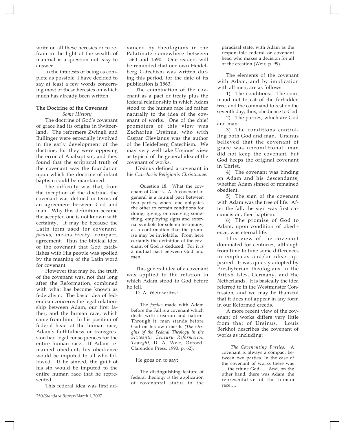write on all these heresies or to refrain in the light of the wealth of material is a question not easy to answer.

In the interests of being as complete as possible, I have decided to say at least a few words concerning most of these heresies on which much has already been written.

#### **The Doctrine of the Covenant**

*Some History*

The doctrine of God's covenant of grace had its origins in Switzerland. The reformers Zwingli and Bullinger were especially involved in the early development of the doctrine, for they were opposing the error of Anabaptism, and they found that the scriptural truth of the covenant was the foundation upon which the doctrine of infant baptism could be maintained.

The difficulty was that, from the inception of the doctrine, the covenant was defined in terms of an agreement between God and man. Why this definition became the accepted one is not known with certainty. It may be because the Latin term used for covenant, *foedus,* means treaty, compact, agreement. Thus the biblical idea of the covenant that God establishes with His people was spoiled by the meaning of the Latin word for covenant.

However that may be, the truth of the covenant was, not that long after the Reformation, combined with what has become known as federalism. The basic idea of federalism concerns the legal relationship between Adam, our first father, and the human race, which came from him. In his position of federal head of the human race, Adam's faithfulness or transgression had legal consequences for the entire human race. If Adam remained obedient, his obedience would be imputed to all who followed. If he sinned, the guilt of his sin would be imputed to the entire human race that he represented.

This federal idea was first ad-

vanced by theologians in the Palatinate somewhere between 1560 and 1590. Our readers will be reminded that our own Heidelberg Catechism was written during this period, for the date of its publication is 1563.

The combination of the covenant as a pact or treaty plus the federal relationship in which Adam stood to the human race led rather naturally to the idea of the covenant of works. One of the chief promoters of this view was Zacharius Ursinus, who with Caspar Olevianus was the author of the Heidelberg Catechism. We may very well take Ursinus' view as typical of the general idea of the covenant of works.

Ursinus defined a covenant in his *Catechesis Religionis Christianae.*

Question 18. What the covenant of God is. A. A covenant in general is a mutual pact between two parties, where one obligates the other to certain conditions for doing, giving, or receiving something, employing signs and external symbols for solemn testimony, as a confirmation that the promise may be inviolable. From here certainly the definition of the covenant of God is deduced. For it is a mutual pact between God and men.

This general idea of a covenant was applied to the relation in which Adam stood to God before he fell.

D. A. Weir writes:

The *foedus* made with Adam before the Fall is a covenant which deals with creation and nature. Through it, man stands before God on his own merits *(The Origins of the Federal Theology in the Sixteenth Century Reformation Thought*, D. A. Weir, Oxford: Clarendon Press, 1990, p. 62).

He goes on to say:

The distinguishing feature of federal theology is the application of covenantal status to the paradisal state, with Adam as the responsible federal or covenant head who makes a decision for all of the creation (Weir, p. 99).

The elements of the covenant with Adam, and by implication with all men, are as follows.

1) The conditions: The command not to eat of the forbidden tree, and the command to rest on the seventh day; thus, obedience to God.

2) The parties, which are God and man.

3) The conditions controlling both God and man. Ursinus believed that the covenant of grace was unconditional: man did not keep the covenant, but God keeps the original covenant in Christ.

4) The covenant was binding on Adam and his descendants, whether Adam sinned or remained obedient.

5) The sign of the covenant with Adam was the tree of life. After the fall, the sign was first circumcision, then baptism.

6) The promise of God to Adam, upon condition of obedience, was eternal life.

This view of the covenant dominated for centuries, although from time to time some differences in emphasis and/or ideas appeared. It was quickly adopted by Presbyterian theologians in the British Isles, Germany, and the Netherlands. It is basically the idea referred to in the Westminster Confession, and we may be thankful that it does not appear in any form in our Reformed creeds.

A more recent view of the covenant of works differs very little from that of Ursinus. Louis Berkhof describes the covenant of works as including:

*The Covenanting Parties.* A covenant is always a compact between two parties. In the case of the covenant of works there was … the triune God…. And, on the other hand, there was Adam, the representative of the human race….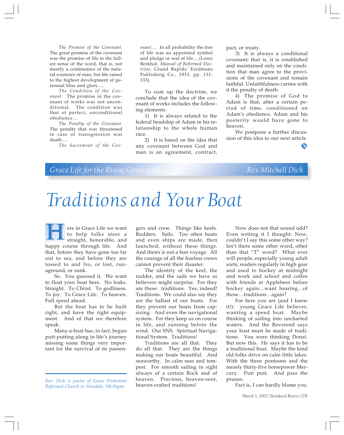*The Promise of the Covenant.* The great promise of the covenant was the promise of life in the fullest sense of the word, that is, not merely a continuance of the natural existence of man, but life raised to the highest development of perennial bliss and glory….

*The Condition of the Covenant.* The promise in the covenant of works was not unconditional. The condition was that of perfect, unconditional obedience….

*The Penalty of the Covenant.* The penalty that was threatened in case of transgression was death….

*The Sacrament of the Cov-*

*enant….* In all probability the tree of life was an appointed symbol and pledge or seal of life… (Louis Berkhof, *Manual of Reformed Doctrine,* Grand Rapids: Eerdmans Publishing Co., 1933, pp. 131- 133).

To sum up the doctrine, we conclude that the idea of the covenant of works includes the following elements:

1) It is always related to the federal headship of Adam in his relationship to the whole human race.

2) It is based on the idea that any covenant between God and man is an agreement, contract, pact, or treaty.

3) It is always a conditional covenant; that is, it is established and maintained only on the condition that man agree to the provisions of the covenant and remain faithful. Unfaithfulness carries with it the penalty of death.

4) The promise of God to Adam is that, after a certain period of time, conditioned on Adam's obedience, Adam and his posterity would have gone to heaven.

We postpone a further discussion of this idea to our next article.

S)

## *Grace Life for the Rising Generation* Rev. Mitchell Dick

# *Traditions and Your Boat*

ere in Grace Life we want to help folks steer a straight, honorable, and **happy** course through life. And happy course through life. And that, before they have gone too far out to sea, and before they are tossed to and fro, or lost, runaground, or sunk.

So. You guessed it. We want to float your boat here. No leaks. Straight. To Christ. To godliness. To joy. To Grace Life. To heaven. Full speed ahead.

But the boat has to be built right, and have the right equipment. And of that we therefore speak.

Many-a-boat has, in fact, begun putt-putting along in life's journey missing some things very important for the survival of its passen-

*Rev. Dick is pastor of Grace Protestant Reformed Church in Standale, Michigan.*

gers and crew. Things like keels. Rudders. Sails. Too often boats and even ships are made, then launched, without these things. And theirs is not a bon voyage. All the courage of all the fearless crews cannot prevent their disaster.

The identity of the keel, the rudder, and the sails we have as believers might surprise. For they are these: traditions. Yes, indeed! Traditions. We could also say they are the ballast of our boats. For they prevent our boats from capsizing. And even the navigational system. For they keep us on course in life, and running before the wind. Our SNS. Spiritual Navigational System. Traditions!

Traditions are all that. They do all that. They are the things making our boats beautiful. And seaworthy. In calm seas and tempest. For smooth sailing in sight always of a certain Rock and of heaven. Precious, heaven-sent, heaven-crafted traditions!

Now does not that sound odd? Even writing it I thought: Now, couldn't I say this some other way? Isn't there some other word, other than that "T" word? What ever will people, especially young adult sorts, readers regularly in high gear and used to hockey at midnight and work and school and coffee with friends at Applebees before hockey again…want hearing…of those…traditions…again?

For here you are (and I know it!): young Grace Life believer, wanting a speed boat. Maybe thinking of sailing into uncharted waters. And the Reverend says your boat must be made of traditions. You were thinking Donzi. But now this. He says it has to be a traditional boat. Maybe the kind old folks drive on calm little lakes. With the three pontoons and the measly thirty-five horsepower Mercury. Putt putt. And pass the prunes.

Fact is, I can hardly blame you.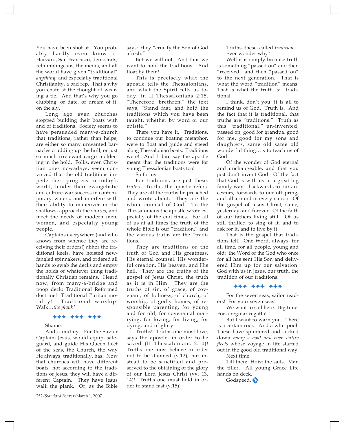You have been shot at. You probably hardly even know it. Harvard, San Francisco, democrats, rebumblingcans, the media, and all the world have given "traditional" *anything,* and especially traditional Christianity, a bad rep. That's why you chafe at the thought of wearing a tie. And that's why you go clubbing, or date, or dream of it, on the sly.

Long ago even churches stopped building their boats with and of traditions. Society seems to have persuaded many-a-church that traditions, rather than helps, are either so many unwanted barnacles crudding up the hull, or just so much irrelevant cargo moldering in the hold. Folks, even Christian ones nowadays, seem convinced that the old traditions impede their progress in today's world, hinder their evangelistic and culture-war success in contemporary waters, and interfere with their ability to maneuver in the shallows, approach the shores, and meet the needs of modern men, women, and especially young people.

Captains everywhere (and who knows from whence they are receiving their orders!) abhor the traditional keels, have hoisted newfangled spinnakers, and ordered all hands to swab the decks and empty the holds of whatever thing traditionally Christian remains. Heard now, from many-a-bridge and poop deck: Traditional Reformed doctrine! Traditional Puritan morality! Traditional worship! Walk…*the plank!*

#### $+ + + + + + +$

#### Shame.

And a mutiny. For the Savior Captain, Jesus, would equip, safeguard, and guide His Queen fleet of the seas, the Church, the way He always, traditionally, has. Now that churches will have different boats, not according to the traditions of Jesus, they will have a different Captain. They have Jesus walk the plank. Or, as the Bible

says: they "crucify the Son of God afresh."

But we will not. And thus we want to hold the traditions. And float by them!

This is precisely what the apostle tells the Thessalonians, and what the Spirit tells us today, in II Thessalonians 2:15. "Therefore, brethren," the text says, "Stand fast, and hold the traditions which you have been taught, whether by word or our epistle."

There you have it. Traditions, to continue our boating metaphor, were to float and guide and speed along Thessalonian boats. Traditions were! And I dare say the apostle meant that the traditions were for young Thessalonian boats too!

So for us.

For traditions are just these: *truths*. To this the apostle refers. They are all the truths he preached and wrote about. They are the whole counsel of God. To the Thessalonians the apostle wrote especially of the end times. For all of us at all times the truth of the whole Bible is our "tradition," and the various truths are the "traditions."

They are traditions of the truth of God and His greatness, His eternal counsel, His wonderful creation, His heaven, and His hell. They are the truths of the gospel of Jesus Christ, the truth as it is in Him. They are the truths of sin, of grace, of covenant, of holiness, of church, of worship, of godly homes, of responsible parenting, for young and for old, for covenantal marrying, for loving, for living, for dying, and of glory.

Truths! Truths one must love, says the apostle, in order to be saved (II Thessalonians 2:10)! Truths one must believe in order not to be damned (v.12), but instead to be sanctified and preserved to the obtaining of the glory of our Lord Jesus Christ (vv. 13, 14)! Truths one must hold in order to stand fast (v.15)!

Truths, these, called *traditions.* Ever wonder why?

Well it is simply because truth is something "passed on" and then "received" and then "passed on" to the next generation. That is what the word "tradition" means. That is what the truth is: traditional.

I think, don't you, it is all to remind us of God. Truth is. And the fact that it is traditional, that truths are "traditions." Truth as this "traditional," un-invented, passed on, good for grandpa, good for me, good for my sons and daughters, same old same old wonderful thing…is to teach us of God.

Of the wonder of God eternal and unchangeable, and that you just don't invent God. Of the fact that God is with us in a great big family way—backwards to our ancestors, forwards to our offspring, and all around in every nation. Of the gospel of Jesus Christ, same, yesterday, and forever. Of the faith of our fathers living still. Of us still thrilled to sing of it, and to ask for it, and to live by it.

That is the gospel that traditions tell. One Word, always, for all time, for all people, young and old: the Word of the God who once for all has sent His Son and delivered Him up for our salvation. God with us in Jesus, our truth, the tradition of our traditions.

#### $+ + + + + + +$

For the seven seas, sailor readers! For your seven seas!

We want to sail here. Big time. For a regular regatta!

But I want to warn you. There is a certain rock. And a whirlpool. These have splintered and sucked down *many a boat and even entire fleets* whose voyage in life started out in the good old traditional way. Next time.

Till then: Hoist the sails. Man the tiller. All young Grace Life hands on deck.

Godspeed.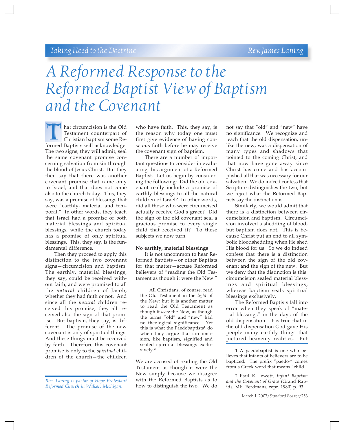# *A Reformed Response to the Reformed Baptist View of Baptism and the Covenant*

hat circumcision is the Old Testament counterpart of Christian baptism some Re-**Formed Baptists will acknowledge.**<br>Testament counterpart of Christian baptism some Reformed Baptists will acknowledge. The two signs, they will admit, seal the same covenant promise concerning salvation from sin through the blood of Jesus Christ. But they then say that there was another covenant promise that came only to Israel, and that does not come also to the church today. This, they say, was a promise of blessings that were "earthly, material and temporal." In other words, they teach that Israel had a promise of both material blessings and spiritual blessings, while the church today has a promise of only spiritual blessings. This, they say, is the fundamental difference.

Then they proceed to apply this distinction to the two covenant signs—circumcision and baptism. The earthly, material blessings, they say, could be received without faith, and were promised to all the *natural* children of Jacob, whether they had faith or not. And since all the *natural* children received this promise, they all received also the sign of that promise. But baptism, they say, is different. The promise of the new covenant is only of spiritual things. And these things must be received by faith. Therefore this covenant promise is only to the *spiritual* children of the church—the children

who have faith. This, they say, is the reason why today one must first give evidence of having conscious faith before he may receive the covenant sign of baptism.

There are a number of important questions to consider in evaluating this argument of a Reformed Baptist. Let us begin by considering the following: Did the old covenant really include a promise of earthly blessings to all the natural children of Israel? In other words, did all those who were circumcised actually receive God's grace? Did the sign of the old covenant seal a gracious promise to every single child that received it? To these subjects we now turn.

#### **No earthly, material blessings**

It is not uncommon to hear Reformed Baptists—or other Baptists for that matter—accuse Reformed believers of "reading the Old Testament as though it were the New."

All Christians, of course, read the Old Testament in the *light* of the New; but it is another matter to read the Old Testament as though it *were* the New, as though the terms "old" and "new" had no theological significance. Yet this is what the Paedobaptists<sup>1</sup> do when they argue that circumcision, like baptism, signified and sealed spiritual blessings exclusively.2

We are accused of reading the Old Testament as though it were the New simply because we disagree with the Reformed Baptists as to how to distinguish the two. We do not say that "old" and "new" have no significance. We recognize and teach that the old dispensation, unlike the new, was a dispensation of many types and shadows that pointed to the coming Christ, and that now have gone away since Christ has come and has accomplished all that was necessary for our salvation. We do indeed confess that Scripture distinguishes the two, but we reject what the Reformed Baptists say the distinction is.

Similarly, we would admit that there is a distinction between circumcision and baptism. Circumcision involved a shedding of blood, but baptism does not. This is because Christ put an end to all symbolic bloodshedding when He shed His blood for us. So we do indeed confess that there is a distinction between the sign of the old covenant and the sign of the new. But we deny that the distinction is this: circumcision sealed material blessings and spiritual blessings, whereas baptism seals spiritual blessings exclusively.

The Reformed Baptists fall into error when they speak of "material blessings" in the days of the old dispensation. It is true that in the old dispensation God gave His people many earthly things that pictured heavenly realities. But

2. Paul K. Jewett, *Infant Baptism and the Covenant of Grace* (Grand Rapids, MI: Eerdmans, repr. 1980) p. 93.

*Rev. Laning is pastor of Hope Protestant Reformed Church in Walker, Michigan.*

<sup>1.</sup> A paedobaptist is one who believes that infants of believers are to be baptized. The prefix "paedo-" comes from a Greek word that means "child."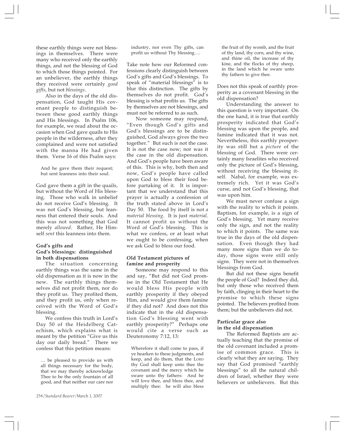these earthly things were not blessings in themselves. There were many who received only the earthly things, and not the blessing of God to which those things pointed. For an unbeliever, the earthly things they received were certainly *good gifts*, but not *blessings*.

Also in the days of the old dispensation, God taught His covenant people to distinguish between these good earthly things and His blessings. In Psalm 106, for example, we read about the occasion when God gave quails to His people in the wilderness, after they complained and were not satisfied with the manna He had given them. Verse 16 of this Psalm says:

And he gave them their request; but sent leanness into their soul.

God gave them a gift in the quails, but without the Word of His blessing. Those who walk in unbelief do not receive God's blessing. It was not God's blessing, but leanness that entered their souls. And this was not something that God merely *allowed*. Rather, He Himself *sent* this leanness into them.

#### **God's gifts and God's blessings: distinguished in both dispensations**

The situation concerning earthly things was the same in the old dispensation as it is now in the new. The earthly things themselves did not profit them, nor do they profit us. They profited them, and they profit us, only when received with the Word of God's blessing.

We confess this truth in Lord's Day 50 of the Heidelberg Catechism, which explains what is meant by the petition "Give us this day our daily bread." There we confess that this petition means:

… be pleased to provide us with all things necessary for the body, that we may thereby acknowledge Thee to be the only fountain of all good, and that neither our care nor

industry, nor even Thy gifts, can profit us without Thy blessing….

Take note how our Reformed confessions clearly distinguish between God's gifts and God's blessings. To speak of "material blessings" is to blur this distinction. The gifts by themselves do not profit. God's blessing is what profits us. The gifts by themselves are not blessings, and must not be referred to as such.

Now someone may respond, "Even though God's gifts and God's blessings are to be distinguished, God always gives the two together." But such is not the case. It is not the case now; nor was it the case in the old dispensation. And God's people have been aware of this. This is why, both then and now, God's people have called upon God to bless their food before partaking of it. It is important that we understand that this prayer is actually a confession of the truth stated above in Lord's Day 50. The food by itself is not *a material blessing*. It is just *material*. It cannot profit us without the Word of God's blessing. This is what we confess, or at least what we ought to be confessing, when we ask God to bless our food.

#### **Old Testament pictures of famine and prosperity**

Someone may respond to this and say, "But did not God promise in the Old Testament that He would bless His people with earthly prosperity if they obeyed Him, and would give them famine if they did not? And does not this indicate that in the old dispensation God's blessing went with earthly prosperity?" Perhaps one would cite a verse such as Deuteronomy 7:12, 13:

Wherefore it shall come to pass, if ye hearken to these judgments, and keep, and do them, that the LORD thy God shall keep unto thee the covenant and the mercy which he sware unto thy fathers: And he will love thee, and bless thee, and multiply thee: he will also bless

the fruit of thy womb, and the fruit of thy land, thy corn, and thy wine, and thine oil, the increase of thy kine, and the flocks of thy sheep, in the land which he sware unto thy fathers to give thee.

Does not this speak of earthly prosperity as a covenant blessing in the old dispensation?

Understanding the answer to this question is very important. On the one hand, it is true that earthly prosperity indicated that God's blessing was upon the people, and famine indicated that it was not. Nevertheless, this earthly prosperity was still but a *picture* of the blessing of God. There were certainly many Israelites who received only the picture of God's blessing, without receiving the blessing itself. Nabal, for example, was extremely rich. Yet it was God's curse, and not God's blessing, that was upon him.

We must never confuse a sign with the reality to which it points. Baptism, for example, is a sign of God's blessing. Yet many receive only the sign, and not the reality to which it points. The same was true in the days of the old dispensation. Even though they had many more signs than we do today, those signs were still only signs. They were not in themselves blessings from God.

But did not these signs benefit the people of God? Indeed they did, but only those who received them by faith, clinging in their heart to the promise to which these signs pointed. The believers profited from them; but the unbelievers did not.

#### **Particular grace also in the old dispensation**

The Reformed Baptists are actually teaching that the promise of the old covenant included a promise of common grace. This is clearly what they are saying. They say that God promised "earthly blessings" to all the natural children of Israel, whether they were believers or unbelievers. But this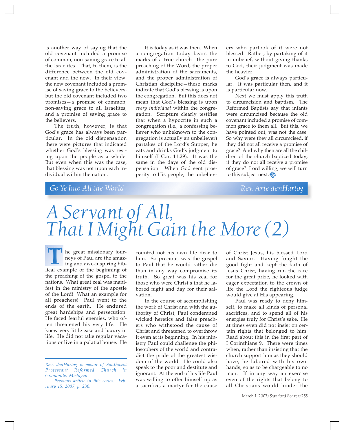is another way of saying that the old covenant included a promise of common, non-saving grace to all the Israelites. That, to them, is the difference between the old covenant and the new. In their view, the new covenant included a promise of saving grace to the believers, but the old covenant included two promises—a promise of common, non-saving grace to all Israelites, and a promise of saving grace to the believers.

The truth, however, is that God's grace has always been particular. In the old dispensation there were pictures that indicated whether God's blessing was resting upon the people as a whole. But even when this was the case, that blessing was not upon each individual within the nation.

It is today as it was then. When a congregation today bears the marks of a true church—the pure preaching of the Word, the proper administration of the sacraments, and the proper administration of Christian discipline—these marks indicate that God's blessing is upon the congregation. But this does not mean that God's blessing is upon *every individual* within the congregation. Scripture clearly testifies that when a hypocrite in such a congregation (i.e., a confessing believer who unbeknown to the congregation is actually an unbeliever) partakes of the Lord's Supper, he eats and drinks God's judgment to himself (I Cor. 11:29). It was the same in the days of the old dispensation. When God sent prosperity to His people, the unbelievers who partook of it were not blessed. Rather, by partaking of it in unbelief, without giving thanks to God, their judgment was made the heavier.

God's grace is always particular. It was particular then, and it is particular now.

Next we must apply this truth to circumcision and baptism. The Reformed Baptists say that infants were circumcised because the old covenant included a promise of common grace to them all. But this, we have pointed out, was not the case. So why were they all circumcised, if they did not all receive a promise of grace? And why then are all the children of the church baptized today, if they do not all receive a promise of grace? Lord willing, we will turn to this subject next.

## *Go Ye Into All the World Rev. Arie denHartog*

# *A Servant of All, That I Might Gain the More (2)*

he great missionary journeys of Paul are the amazing and awe-inspiring bib-The great missionary journeys of Paul are the amazing and awe-inspiring bib-<br>lical example of the beginning of the preaching of the gospel to the nations. What great zeal was manifest in the ministry of the apostle of the Lord! What an example for all preachers! Paul went to the ends of the earth. He endured great hardships and persecution. He faced fearful enemies, who often threatened his very life. He knew very little ease and luxury in life. He did not take regular vacations or live in a palatial house. He

counted not his own life dear to him. So precious was the gospel to Paul that he would rather die than in any way compromise its truth. So great was his zeal for those who were Christ's that he labored night and day for their salvation.

In the course of accomplishing the work of Christ and with the authority of Christ, Paul condemned wicked heretics and false preachers who withstood the cause of Christ and threatened to overthrow it even at its beginning. In his ministry Paul could challenge the philosophers of the world and contradict the pride of the greatest wisdom of the world. He could also speak to the poor and destitute and ignorant. At the end of his life Paul was willing to offer himself up as a sacrifice, a martyr for the cause

of Christ Jesus, his blessed Lord and Savior. Having fought the good fight and kept the faith of Jesus Christ, having run the race for the great prize, he looked with eager expectation to the crown of life the Lord the righteous judge would give at His appearing.

Paul was ready to deny himself, to make all kinds of personal sacrifices, and to spend all of his energies truly for Christ's sake. He at times even did not insist on certain rights that belonged to him. Read about this in the first part of I Corinthians 9. There were times when, rather than insisting that the church support him as they should have, he labored with his own hands, so as to be chargeable to no man. If in any way an exercise even of the rights that belong to all Christians would hinder the

*Rev. denHartog is pastor of Southwest Protestant Reformed Church in Grandville, Michigan.*

*Previous article in this series: February 15, 2007, p. 230.*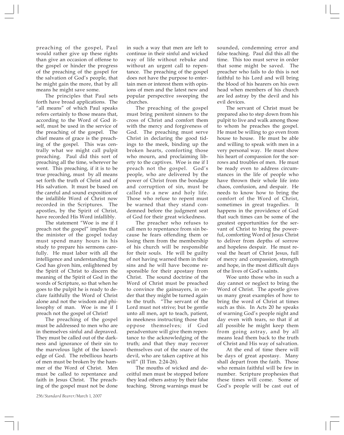preaching of the gospel, Paul would rather give up these rights than give an occasion of offense to the gospel or hinder the progress of the preaching of the gospel for the salvation of God's people, that he might gain the more, that by all means he might save some.

The principles that Paul sets forth have broad applications. The "all means" of which Paul speaks refers certainly to those means that, according to the Word of God itself, must be used in the service of the preaching of the gospel. The chief means of grace is the preaching of the gospel. This was centrally what we might call pulpit preaching. Paul did this sort of preaching all the time, wherever he went. This preaching, if it is to be true preaching, must by all means set forth the truth of Christ and of His salvation. It must be based on the careful and sound exposition of the infallible Word of Christ now recorded in the Scriptures. The apostles, by the Spirit of Christ, have recorded His Word infallibly.

The statement "Woe is me if I preach not the gospel" implies that the minister of the gospel today must spend many hours in his study to prepare his sermons carefully. He must labor with all the intelligence and understanding that God has given him, enlightened by the Spirit of Christ to discern the meaning of the Spirit of God in the words of Scripture, so that when he goes to the pulpit he is ready to declare faithfully the Word of Christ alone and not the wisdom and philosophy of man. Woe is me if I preach not the gospel of Christ!

The preaching of the gospel must be addressed to men who are in themselves sinful and depraved. They must be called out of the darkness and ignorance of their sin to the marvelous light of the knowledge of God. The rebellious hearts of men must be broken by the hammer of the Word of Christ. Men must be called to repentance and faith in Jesus Christ. The preaching of the gospel must not be done in such a way that men are left to continue in their sinful and wicked way of life without rebuke and without an urgent call to repentance. The preaching of the gospel does not have the purpose to entertain men or interest them with opinions of men and the latest new and popular perspective sweeping the churches.

The preaching of the gospel must bring penitent sinners to the cross of Christ and comfort them with the mercy and forgiveness of God. The preaching must serve Christ in declaring the good tidings to the meek, binding up the broken hearts, comforting those who mourn, and proclaiming liberty to the captives. Woe is me if I preach not the gospel. God's people, who are delivered by the power of Christ from the bondage and corruption of sin, must be called to a new and holy life. Those who refuse to repent must be warned that they stand condemned before the judgment seat of God for their great wickedness.

The preacher who refuses to call men to repentance from sin because he fears offending them or losing them from the membership of his church will be responsible for their souls. He will be guilty of not having warned them in their sins and he will have become responsible for their apostasy from Christ. The sound doctrine of the Word of Christ must be preached to convince the gainsayers, in order that they might be turned again to the truth. "The servant of the Lord must not strive; but be gentle unto all men, apt to teach, patient, in meekness instructing those that oppose themselves; if God peradventure will give them repentance to the acknowledging of the truth; and that they may recover themselves out of the snare of the devil, who are taken captive at his will" (II Tim. 2:24-26).

The mouths of wicked and deceitful men must be stopped before they lead others astray by their false teaching. Strong warnings must be

sounded, condemning error and false teaching. Paul did this all the time. This too must serve in order that some might be saved. The preacher who fails to do this is not faithful to his Lord and will bring the blood of his hearers on his own head when members of his church are led astray by the devil and his evil devices.

The servant of Christ must be prepared also to step down from his pulpit to live and walk among those to whom he preaches the gospel. He must be willing to go even from house to house. He must be able and willing to speak with men in a very personal way. He must show his heart of compassion for the sorrows and troubles of men. He must be ready even to address circumstances in the life of people who have thrown their whole life into chaos, confusion, and despair. He needs to know how to bring the comfort of the Word of Christ, sometimes in great tragedies. It happens in the providence of God that such times can be some of the greatest opportunities for the servant of Christ to bring the powerful, comforting Word of Jesus Christ to deliver from depths of sorrow and hopeless despair. He must reveal the heart of Christ Jesus, full of mercy and compassion, strength and hope, in the most difficult days of the lives of God's saints.

Woe unto those who in such a day cannot or neglect to bring the Word of Christ. The apostle gives us many great examples of how to bring the word of Christ at times such as this. In Acts 20 he speaks of warning God's people night and day even with tears, so that if at all possible he might keep them from going astray, and by all means lead them back to the truth of Christ and His way of salvation.

At the end of time there will be days of great apostasy. Many shall depart from the faith. Those who remain faithful will be few in number. Scripture prophesies that these times will come. Some of God's people will be cast out of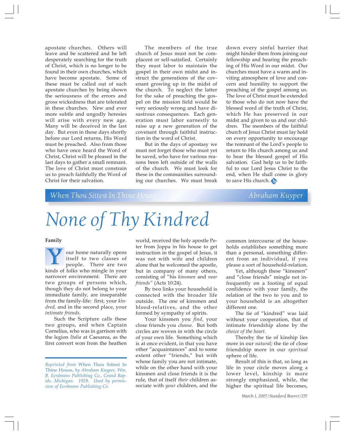apostate churches. Others will leave and be scattered and be left desperately searching for the truth of Christ, which is no longer to be found in their own churches, which have become apostate. Some of these must be called out of such apostate churches by being shown the seriousness of the errors and gross wickedness that are tolerated in these churches. New and ever more subtle and ungodly heresies will arise with every new age. Many will be deceived in the last day. But even in those days shortly before our Lord returns, His Word must be preached. Also from those who have once heard the Word of Christ, Christ will be pleased in the last days to gather a small remnant. The love of Christ must constrain us to preach faithfully the Word of Christ for their salvation.

The members of the true church of Jesus must not be complacent or self-satisfied. Certainly they must labor to maintain the gospel in their own midst and instruct the generations of the covenant growing up in the midst of the church. To neglect the latter for the sake of preaching the gospel on the mission field would be very seriously wrong and have disastrous consequences. Each generation must labor earnestly to raise up a new generation of the covenant through faithful instruction in the word of Christ.

But in the days of apostasy we must not forget those who must yet be saved, who have for various reasons been left outside of the walls of the church. We must look for these in the communities surrounding our churches. We must break

down every sinful barrier that might hinder them from joining our fellowship and hearing the preaching of His Word in our midst. Our churches must have a warm and inviting atmosphere of love and concern and humility to support the preaching of the gospel among us. The love of Christ must be extended to those who do not now have the blessed word of the truth of Christ, which He has preserved in our midst and given to us and our children. The members of the faithful church of Jesus Christ must lay hold on every opportunity to encourage the remnant of the Lord's people to return to His church among us and to hear the blessed gospel of His salvation. God help us to be faithful to our Lord Jesus Christ to the end, when He shall come in glory to save His church.

## *When Thou Sittest In Thine House* **Abraham Kuyper** *Abraham Kuyper*

# *None of Thy Kindred*

#### **Family**

our home naturally opens itself to two classes of people. There are two **K** our home naturally opens<br>itself to two classes of<br>people. There are two<br>kinds of folks who mingle in your narrower environment. There are two groups of persons which, though they do not belong to your immediate family, are inseparable from the family-life: first, your *kindred,* and in the second place, your *intimate friends.*

Such the Scripture calls these two groups, and when Captain Cornelius, who was in garrison with the legion *Italia* at Caesarea, as the first convert won from the heathen

world, received the holy apostle Peter from Joppa in his house to get instruction in the gospel of Jesus, it was not with wife and children alone that he welcomed the apostle, but in company of many others, consisting of "his *kinsmen* and *near friends"* (Acts 10:24).

By two links your household is connected with the broader life outside. The one of kinsmen and blood-relatives, and the other formed by sympathy of spirits.

Your kinsmen you *find,* your close friends you *choose.* But both circles are woven in with the circle of your own life. Something which is at once evident, in that you have other "acquaintances" and to some extent other "friends," but with whose family you are not intimate, while on the other hand with your kinsmen and close friends it is the rule, that of itself *their* children associate with *your* children, and the

common intercourse of the households establishes something more than a personal, something different from an individual, if you please a sort of household-relation.

Yet, although these "kinsmen" and "close friends" mingle not infrequently on a footing of equal confidence with your family, the relation of the two to you and to your household is an altogether different one.

The tie of "kindred" was laid without your cooperation, that of intimate friendship alone by the *choice of the heart.*

Thereby the tie of kinship lies more in our *natural;* the tie of close friendship more in our *spiritual* sphere of life.

Result of this is that, so long as life in your circle moves along a lower level, kinship is more strongly emphasized, while, the higher the spiritual life becomes,

*Reprinted from* When Thou Sittest In Thine House, *by Abraham Kuyper, Wm. B. Eerdmans Publishing Co., Grand Rapids, Michigan. 1929. Used by permission of Eerdmans Publishing Co.*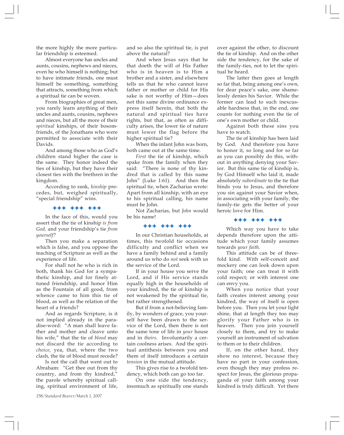the more highly the more particular friendship is esteemed.

Almost everyone has uncles and aunts, cousins, nephews and nieces, even he who himself is nothing; but to have intimate friends, one must himself be something, something that attracts, something from which a spiritual tie can be woven.

From biographies of great men, you rarely learn anything of their uncles and aunts, cousins, nephews and nieces, but all the more of their *spiritual* kinships, of their bosomfriends, of the Jonathans who were permitted to associate with their Davids.

And among those who as God's children stand higher the case is the same. They honor indeed the ties of kinship, but they have their closest ties with the brethren in the kingdom.

According to rank, *kinship* precedes, but, weighed spiritually, "special friendship" wins.

))) ))) )))

In the face of this, would you assert that the tie of kinship *is from God,* and your friendship's tie *from yourself?*

Then you make a separation which is false, and you oppose the teaching of Scripture as well as the experience of life.

For shall not he who is rich in both, thank his God for a sympathetic kinship, and for finely attuned friendship, and honor Him as the Fountain of all good, from whence came to him this tie of blood, as well as the relation of the heart of a friends?

And as regards Scripture, is it not implied already in the paradise-word: "A man shall leave father and mother and cleave unto his wife," that the tie of *blood* may not discard the tie according to *choice,* yea, that, where the two clash, the tie of blood must recede?

Is not the call that went out to Abraham: "Get thee out from thy country, and from thy kindred," the parole whereby spiritual calling, spiritual environment of life,

and so also the spiritual tie, is put above the natural?

And when Jesus says that he that doeth the will of His Father who is in heaven is to Him a brother and a sister, and elsewhere tells us that he who cannot leave father or mother or child for His sake is not worthy of Him—does not this same divine ordinance express itself herein, that both the natural and spiritual ties have rights, but that, as often as difficulty arises, the lower tie of nature must lower the flag before the higher spiritual tie?

When the infant John was born, both came out at the same time.

*First* the tie of kinship, which spake from the family when they said: "There is none of thy kindred that is called by this name John" (Luke 1:61). And then the spiritual tie, when Zacharias wrote: Apart from all kinship, with an eye to his spiritual calling, his name must be John.

Not Zacharias, but *John* would be his name!

#### ))) ))) )))

In our Christian households, at times, this twofold tie occasions difficulty and conflict when we have a family behind and a family around us who do *not* seek with us the service of the Lord.

If in your house you serve the Lord, and if His service stands equally high in the households of your kindred, the tie of kinship is not weakened by the spiritual tie, but rather strengthened.

But if from a not-believing family, by wonders of grace, you yourself have been drawn to the service of the Lord, then there is not the same tone of life in *your* house and in *theirs.* Involuntarily a certain coolness arises. And the spiritual antithesis between you and them of itself introduces a certain *tension* in the mutual attitude.

This gives rise to a twofold tendency, which both can go too far.

On one side the tendency, insomuch as spiritually one stands over against the other, to discount the tie of kinship. And on the other side the tendency, for the sake of the family-ties, not to let the spiritual be heard.

The latter then goes at length so far that, being among one's own, for dear peace's sake, one shamelessly denies his Savior. While the former can lead to such inexcusable hardness that, in the end, one counts for nothing even the tie of one's own mother or child.

Against both these sins you have to watch.

The tie of kinship has been laid by God. And therefore you have to honor it, so long and for so far as you can possibly do this, without in anything denying your Savior. But this same tie of kinship is, by God Himself who laid it, made absolutely *subordinate* to the tie that binds you to Jesus, and therefore you sin against your Savior when, in associating with your family, the family-tie gets the better of your heroic love for Him.

))) ))) )))

Which way you have to take depends therefore upon the attitude which your family assumes towards *your faith.*

This attitude can be of threefold kind. With self-conceit and mockery one can look down upon your faith; one can treat it with cold respect; or with interest one can envy you.

When you notice that your faith creates interest among your kindred, the way of itself is open before you. Then you let your light shine, that at length they too may glorify your Father who is in heaven. Then you join yourself closely to them, and try to make yourself an instrument of salvation to them or to their children.

If, on the other hand, they show no interest, because they have no part in your confession, even though they may profess respect for Jesus, the glorious propaganda of your faith among your kindred is truly difficult. Yet there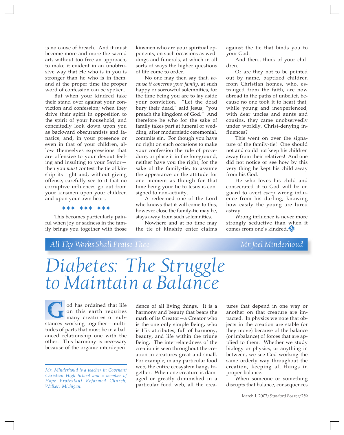is no cause of breach. And it must become more and more the sacred art, without too free an approach, to make it evident in an unobtrusive way that He who is in you is stronger than he who is in them, and at the proper time the proper word of confession can be spoken.

But when your kindred take their stand over against your conviction and confession; when they drive their spirit in opposition to the spirit of your household; and conceitedly look down upon you as backward obscurantists and fanatics; and, in your presence or even in that of your children, allow themselves expressions that are offensive to your devout feeling and insulting to your Savior then you *must* contest the tie of kinship its right and, without giving offense, carefully see to it that no corruptive influences go out from your kinsmen upon your children and upon your own heart.

))) ))) )))

This becomes particularly painful when joy or sadness in the family brings you together with those

kinsmen who are your spiritual opponents, on such occasions as weddings and funerals, at which in all sorts of ways the higher questions of life come to order.

No one may then say that, *because it concerns your family,* at such happy or sorrowful solemnities, for the time being you are to lay aside your conviction. "Let the dead bury their dead," said Jesus, "you preach the kingdom of God." And therefore he who for the sake of family takes part at funeral or wedding, after modernistic ceremonial, commits sin. For though you have no right on such occasions to make your confession the rule of procedure, or place it in the foreground, neither have you the right, for the sake of the family-tie, to assume the appearance or the attitude for one moment as though for that time being your tie to Jesus is consigned to non-activity.

A redeemed one of the Lord who knows that it will come to this, however close the family-tie may be, stays away from such solemnities.

Nowhere and at no time may the tie of kinship enter claims

against the tie that binds you to your God.

And then…think of your children.

Or are they not to be pointed out by name, baptized children from Christian homes, who, estranged from the faith, are now abroad in the paths of unbelief, because no one took it to heart that, while young and inexperienced, with dear uncles and aunts and cousins, they came unobservedly under worldly, Christ-denying influences?

This went on over the signature of the family-tie! One should not and could not keep his children away from their relatives! And one did not notice or see how by this very thing he kept his child away from his God.

He who loves his child and consecrated it to God will be on guard to avert *every* wrong influence from his darling, knowing how easily the young are lured astray.

Wrong influence is never more strongly seductive than when it comes from one's kindred.

### *All Thy Works Shall Praise Thee Mr. Joel Minderhoud*

*Diabetes: The Struggle to Maintain a Balance*

od has ordained that life on this earth requires many creatures or subod has ordained that life<br>on this earth requires<br>many creatures or sub-<br>stances working together—multitudes of parts that must be in a balanced relationship one with the other. This harmony is necessary because of the organic interdepen-

dence of all living things. It is a harmony and beauty that bears the mark of its Creator—a Creator who is the one only simple Being, who is His attributes, full of harmony, beauty, and life within the triune Being. The interrelatedness of the creation is seen throughout the creation in creatures great and small. For example, in any particular food web, the entire ecosystem hangs together. When one creature is damaged or greatly diminished in a particular food web, all the creatures that depend in one way or another on that creature are impacted. In physics we note that objects in the creation are stable (or they move) because of the balance (or imbalance) of forces that are applied to them. Whether we study biology or physics, or anything in between, we see God working the same orderly way throughout the creation, keeping all things in proper balance.

When someone or something disrupts that balance, consequences

*Mr. Minderhoud is a teacher in Covenant Christian High School and a member of Hope Protestant Reformed Church, Walker, Michigan.*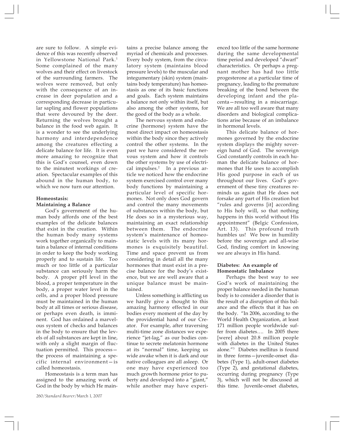are sure to follow. A simple evidence of this was recently observed in Yellowstone National Park.<sup>1</sup> Some complained of the many wolves and their effect on livestock of the surrounding farmers. The wolves were removed, but only with the consequence of an increase in deer population and a corresponding decrease in particular sapling and flower populations that were devoured by the deer. Returning the wolves brought a balance in the food web again. It is a wonder to see the underlying harmony and interdependence among the creatures effecting a delicate balance for life. It is even more amazing to recognize that this is God's counsel, even down to the minutest workings of creation. Spectacular examples of this abound in the human body, to which we now turn our attention.

#### **Homeostasis: Maintaining a Balance**

God's government of the human body affords one of the best examples of the delicate balances that exist in the creation. Within the human body many systems work together organically to maintain a balance of internal conditions in order to keep the body working properly and to sustain life. Too much or too little of a particular substance can seriously harm the body. A proper pH level in the blood, a proper temperature in the body, a proper water level in the cells, and a proper blood pressure must be maintained in the human body at all times or serious disease, or perhaps even death, is imminent. God has ordained a marvelous system of checks and balances in the body to ensure that the levels of all substances are kept in line, with only a slight margin of fluctuation permitted. This process the process of maintaining a specific internal environment—is called homeostasis.

Homeostasis is a term man has assigned to the amazing work of God in the body by which He main-

tains a precise balance among the myriad of chemicals and processes. Every body system, from the circulatory system (maintains blood pressure levels) to the muscular and integumentary (skin) system (maintains body temperature) has homeostasis as one of its basic functions and goals. Each system maintains a balance not only within itself, but also among the other systems, for the good of the body as a whole.

The nervous system and endocrine (hormone) system have the most direct impact on homeostasis within the body since they actively control the other systems. In the past we have considered the nervous system and how it controls the other systems by use of electrical impulses.<sup>2</sup> In a previous article we noticed how the endocrine system exercised control over many body functions by maintaining a particular level of specific hormones. Not only does God govern and control the many movements of substances within the body, but He does so in a mysterious way, maintaining an exact relationship between them. The endocrine system's maintenance of homeostatic levels with its many hormones is exquisitely beautiful. Time and space prevent us from considering in detail all the many hormones that must exist in a precise balance for the body's existence, but we are well aware that a unique balance must be maintained.

Unless something is afflicting us we hardly give a thought to this amazing harmony effected in our bodies every moment of the day by the providential hand of our Creator. For example, after traversing multi-time zone distances we experience "jet-lag," as our bodies continue to secrete melatonin hormone at its "normal" time, keeping us wide awake when it is dark and our native colleagues are all asleep. Or one may have experienced too much growth hormone prior to puberty and developed into a "giant," while another may have experienced too little of the same hormone during the same developmental time period and developed "dwarf" characteristics. Or perhaps a pregnant mother has had too little progesterone at a particular time of pregnancy, leading to the premature breaking of the bond between the developing infant and the placenta—resulting in a miscarriage. We are all too well aware that many disorders and biological complications arise because of an imbalance in hormonal levels.

This delicate balance of hormones governed by the endocrine system displays the mighty sovereign hand of God. The sovereign God constantly controls in each human the delicate balance of hormones that He uses to accomplish His good purpose in each of us throughout our lives. God's government of these tiny creatures reminds us again that He does not forsake any part of His creation but "rules and governs [it] according to His holy will, so that nothing happens in this world without His appointment" (Belgic Confession, Art. 13). This profound truth humbles us! We bow in humility before the sovereign and all-wise God, finding comfort in knowing we are always in His hand.

#### **Diabetes: An example of Homeostatic Imbalance**

Perhaps the best way to see God's work of maintaining the proper balance needed in the human body is to consider a disorder that is the result of a disruption of this balance and the effects that it has on the body. "In 2006, according to the World Health Organization, at least 171 million people worldwide suffer from diabetes…. In 2005 there [were] about 20.8 million people with diabetes in the United States alone."3 Diabetes mellitus is found in three forms—juvenile-onset diabetes (Type 1), adult-onset diabetes (Type 2), and gestational diabetes, occurring during pregnancy (Type 3), which will not be discussed at this time. Juvenile-onset diabetes,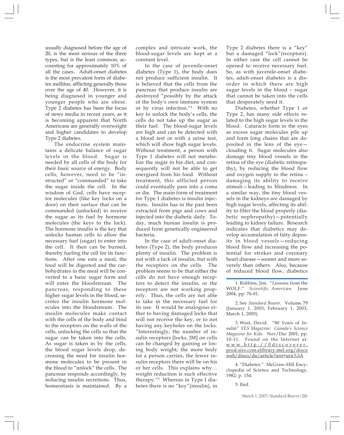usually diagnosed before the age of 20, is the most serious of the three types, but is the least common, accounting for approximately 10% of all the cases. Adult-onset diabetes is the most prevalent form of diabetes mellitus, afflicting generally those over the age of 40. However, it is being diagnosed in younger and younger people who are obese. Type 2 diabetes has been the focus of news media in recent years, as it is becoming apparent that North Americans are generally overweight and higher candidates to develop Type 2 diabetes.

The endocrine system maintains a delicate balance of sugar levels in the blood. Sugar is needed by all cells of the body for their basic source of energy. Body cells, however, need to be "instructed" or "commanded" to take the sugar inside the cell. In the wisdom of God, cells have receptor molecules (like key locks on a door) on their surface that can be commanded (unlocked) to receive the sugar as its fuel by hormone molecules (the keys to the lock). The hormone insulin is the key that unlocks human cells to allow the necessary fuel (sugar) to enter into the cell. It then can be burned, thereby fueling the cell for its functions. After one eats a meal, the food will be digested and the carbohydrates in the meal will be converted to a basic sugar form and will enter the bloodstream. The pancreas, responding to these higher sugar levels in the blood, secretes the insulin hormone molecules into the bloodstream. The insulin molecules make contact with the cells of the body and bind to the receptors on the walls of the cells, unlocking the cells so that the sugar can be taken into the cells. As sugar is taken in by the cells, the blood sugar levels drop, decreasing the need for insulin hormone molecules to be present in the blood to "unlock" the cells. The pancreas responds accordingly, by reducing insulin secretions. Thus, homeostasis is maintained. By a

complex and intricate work, the blood-sugar levels are kept at a constant level.

In the case of juvenile-onset diabetes (Type 1), the body does not produce sufficient insulin. It is believed that the cells from the pancreas that produce insulin are destroyed "possibly by the attack of the body's own immune system or by virus infection."4 With no key to unlock the body's cells, the cells do not take up the sugar as their fuel. The blood-sugar levels are high and can be detected with a blood test or with a urine test, which will show high sugar levels. Without treatment, a person with Type 1 diabetes will not metabolize the sugar in his diet, and consequently will not be able to get energized from his food. Without treatment, this afflicted person could eventually pass into a coma or die. The main form of treatment for Type 1 diabetes is insulin injections. Insulin has in the past been extracted from pigs and cows and injected into the diabetic daily. Today, much human insulin is produced from genetically engineered bacteria.

In the case of adult-onset diabetes (Type 2), the body produces plenty of insulin. The problem is not with a lack of insulin, but with the receptors on the cells. The problem seems to be that either the cells do not have enough receptors to detect the insulin, or the receptors are not working properly. Thus, the cells are not able to take in the necessary fuel for its use. It would be analogous either to having damaged locks that will not receive the key, or to not having any keyholes on the locks. "Interestingly, the number of insulin receptors [locks, JM] on cells can be changed by gaining or losing body weight; the more body fat a person carries, the fewer insulin receptors there will be on his or her cells. This explains why… weight reduction is such effective therapy."5 Whereas in Type I diabetes there is no "key"(insulin), in

Type 2 diabetes there is a "key" but a damaged "lock"(receptors). In either case the cell cannot be opened to receive necessary fuel. So, as with juvenile-onset diabetes, adult-onset diabetes is a disorder in which there are high sugar levels in the blood – sugar that cannot be taken into the cells that desperately need it.

Diabetes, whether Type 1 or Type 2, has many side effects related to the high sugar levels in the blood. Cataracts form in the eyes as excess sugar molecules pile up and form long chains that are deposited in the lens of the eye clouding it. Sugar molecules also damage tiny blood vessels in the retina of the eye (diabetic retinopathy), by reducing the blood flow and oxygen supply to the retina – damaging its ability to receive stimuli—leading to blindness. In a similar way, the tiny blood vessels in the kidneys are damaged by high sugar levels, affecting its ability to filter the blood properly (diabetic nephropathy)—potentially leading to kidney failure. Research indicates that diabetics may develop accumulation of fatty deposits in blood vessels—reducing blood flow and increasing the potential for strokes and coronary heart disease—sooner and more severely than others. Also, because of reduced blood flow, diabetics

1. Robbins, Jim. "Lessons from the WOLF." *Scientific American*. June 2004, pp. 76-81.

2. See *Standard Bearer*. Volume 79 (January 1, 2003; February 1, 2003; March 1, 2003).

3. West, David. "80 Years of Insulin" *YES Magazine: Canada's Science Magazine for Kids.* Nov/Dec 2001; pp. 10-11. Found on the Internet at: www.http://0discoverer. prod.sirs.com.elibrary.mel.org/disco web/disco/do/article?urn=urn%3A

4. "Diabetes." McGraw-Hill Encyclopedia of Science and Technology, 1982; p. 154.

5. Ibid.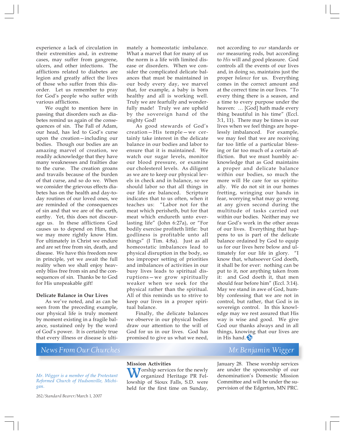experience a lack of circulation in their extremities and, in extreme cases, may suffer from gangrene, ulcers, and other infections. The afflictions related to diabetes are legion and greatly affect the lives of those who suffer from this disorder. Let us remember to pray for God's people who suffer with various afflictions.

We ought to mention here in passing that disorders such as diabetes remind us again of the consequences of sin. The Fall of Adam, our head, has led to God's curse upon the creation—including our bodies. Though our bodies are an amazing marvel of creation, we readily acknowledge that they have many weaknesses and frailties due to the curse. The creation groans and travails because of the burden of that curse, and so do we. When we consider the grievous effects diabetes has on the health and day-today routines of our loved ones, we are reminded of the consequences of sin and that we are of the earth, earthy. Yet, this does not discourage us. In these afflictions God causes us to depend on Him, that we may more rightly know Him. For ultimately in Christ we endure and are set free from sin, death, and disease. We have this freedom now in principle, yet we await the full reality when we shall enjoy heavenly bliss free from sin and the consequences of sin. Thanks be to God for His unspeakable gift!

#### **Delicate Balance in Our Lives**

As we've noted, and as can be seen from the preceding example, our physical life is truly moment by moment existing in a fragile balance, sustained only by the word of God's power. It is certainly true that every illness or disease is ulti-

*News From Our Churches Mr. Benjamin Wigger*

*Mr. Wigger is a member of the Protestant Reformed Church of Hudsonville, Michigan.*

262/*Standard Bearer*/March 1, 2007

mately a homeostatic imbalance. What a marvel that for many of us the norm is a life with limited disease or disorders. When we consider the complicated delicate balances that must be maintained in our body every day, we marvel that, for example, a baby is born healthy and all is working well. Truly we are fearfully and wonderfully made! Truly we are upheld by the sovereign hand of the mighty God!

As good stewards of God's creation—His temple—we certainly take interest in the delicate balance in our bodies and labor to ensure that it is maintained. We watch our sugar levels, monitor our blood pressure, or examine our cholesterol levels. As diligent as we are to keep our physical levels in check and in balance, so we should labor so that all things in our life are balanced. Scripture indicates that to us often, when it teaches us: "Labor not for the meat which perisheth, but for that meat which endureth unto everlasting life" (John 6:27a), or "For bodily exercise profiteth little: but godliness is profitable unto all things" (I Tim. 4:8a). Just as all homeostatic imbalances lead to physical disruption in the body, so too improper setting of priorities and imbalances of activities in our busy lives leads to spiritual disruptions—we grow spiritually weaker when we seek for the physical rather than the spiritual. All of this reminds us to strive to keep our lives in a proper spiritual balance.

Finally, the delicate balances we observe in our physical bodies draw our attention to the will of God for us in our lives. God has promised to give us what we need,

not according to *our* standards or *our* measuring rods, but according to *His* will and good pleasure. God controls all the events of our lives and, in doing so, maintains just the proper *balance* for us. Everything comes in the correct amount and at the correct time in our lives. "To every thing there is a season, and a time to every purpose under the heaven: … [God] hath made every thing beautiful in his time" (Eccl. 3:1, 11). There may be times in our lives when we feel things are hopelessly imbalanced. For example, we may feel that we are receiving far too little of a particular blessing or far too much of a certain affliction. But we must humbly acknowledge that as God maintains a proper and delicate balance within our bodies, so much the more will He care for us spiritually. We do not sit in our homes fretting, wringing our hands in fear, worrying what may go wrong at any given second during the multitude of tasks carried out within our bodies. Neither may we fear God's work in the other areas of our lives. Everything that happens to us is part of the delicate balance ordained by God to equip us for our lives here below and ultimately for our life in glory. "I know that, whatsoever God doeth, it shall be for ever: nothing can be put to it, nor anything taken from it: and God doeth it, that men should fear before him" (Eccl. 3:14). May we stand in awe of God, humbly confessing that we are not in control, but rather, that God is in sovereign control. In this knowledge may we rest assured that His way is wise and good. We give God our thanks always and in all things, knowing that our lives are in His hand.

January 28. These worship services are under the sponsorship of our denomination's Domestic Mission Committee and will be under the supervision of the Edgerton, MN PRC.

#### **Mission Activities**

Worship services for the newly<br>organized Heritage PR Fel-<br>lowship of Sioux Falls, S.D. wore lowship of Sioux Falls, S.D. were held for the first time on Sunday,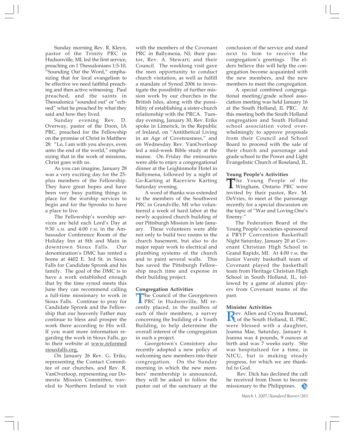Sunday morning Rev. R. Kleyn, pastor of the Trinity PRC in Hudsonville, MI, led the first service, preaching on I Thessalonians 1:5-10, "Sounding Out the Word," emphasizing that for local evangelism to be effective we need faithful preaching and then active witnessing. Paul preached, and the saints in Thessalonica "sounded out" or "echoed" what he preached by what they said and how they lived.

Sunday evening Rev. D. Overway, pastor of the Doon, IA PRC, preached for the Fellowship on the promise of Christ in Matthew 28: "Lo, I am with you always, even unto the end of the world," emphasizing that in the work of missions, Christ goes with us.

As you can imagine, January 28 was a very exciting day for the 25 plus members of the Fellowship. They have great hopes and have been very busy putting things in place for the worship services to begin and for the Spronks to have a place to live.

The Fellowship's worship services are held each Lord's Day at 9:30 A.M. and 4:00 P.M. in the Ambassador Conference Room of the Holiday Inn at 8th and Main in downtown Sioux Falls. Our denomination's DMC has rented a home at 4402 E. 3rd St. in Sioux Falls for Candidate Spronk and his family. The goal of the DMC is to have a work established enough that by the time synod meets this June they can recommend calling a full-time missionary to work in Sioux Falls. Continue to pray for Candidate Spronk and the Fellowship that our heavenly Father may continue to bless and prosper the work there according to His will. If you want more information regarding the work in Sioux Falls, go to their website at <u>www.reformed</u> siouxfalls.org.

On January 26 Rev. G. Eriks, representing the Contact Committee of our churches, and Rev. R. VanOverloop, representing our Domestic Mission Committee, traveled to Northern Ireland to visit with the members of the Covenant PRC in Ballymena, NI; their pastor, Rev. A. Stewart; and their Council. The weeklong visit gave the men opportunity to conduct church visitation, as well as fulfill a mandate of Synod 2006 to investigate the possibility of further mission work by our churches in the British Isles, along with the possibility of establishing a sister-church relationship with the PRCA. Tuesday evening, January 30, Rev. Eriks spoke in Limerick, in the Republic of Ireland, on "Antithetical Living in an Age of Covetousness," and on Wednesday Rev. VanOverloop led a mid-week Bible study at the manse. On Friday the emissaries were able to enjoy a congregational dinner at the Leighinmohr Hotel in Ballymena, followed by a night of Go-Karting at Raceview Karting Saturday evening.

A word of thanks was extended to the members of the Southwest PRC in Grandville, MI who volunteered a week of hard labor at the newly acquired church building of our Pittsburgh Mission in late January. These volunteers were able not only to build two rooms in the church basement, but also to do major repair work to electrical and plumbing systems of the church and to paint several walls. This has saved the Pittsburgh Fellowship much time and expense in their building project.

#### **Congregation Activities**

**The Council of the Georgetown<br>PRC in Hudsonville, MI re-**<br>contly placed in the mailbox of cently placed, in the mailbox of each of their members, a survey concerning the building of a Youth Building, to help determine the overall interest of the congregation in such a project.

Georgetown's Consistory also recently adopted a new policy of welcoming new members into their congregation. On the Sunday morning in which the new members' membership is announced, they will be asked to follow the pastor out of the sanctuary at the

conclusion of the service and stand next to him to receive the congregation's greetings. The elders believe this will help the congregation become acquainted with the new members, and the new members to meet the congregation.

A special combined congregational meeting/grade school association meeting was held January 16 at the South Holland, IL PRC. At this meeting both the South Holland congregation and South Holland school association voted overwhelmingly to approve proposals from their Council and School Board to proceed with the sale of their church and parsonage and grade school to the Power and Light Evangelistic Church of Roseland, IL.

#### **Young People's Activities**

The Young People of the<br>Wingham, Ontario PRC were<br>invited by their pester Rev. M. invited by their pastor, Rev. M. DeVries, to meet at the parsonage recently for a special discussion on the topic of "War and Loving One's Enemy."

The Federation Board of the Young People's societies sponsored a PRYP Convention Basketball Night Saturday, January 20 at Covenant Christian High School in Grand Rapids, MI. At 4:00 P.M. the Junior Varsity basketball team of Covenant played the basketball team from Heritage Christian High School in South Holland, IL, followed by a game of alumni players from Covenant teams of the past.

#### **Minister Activities**

**Rev.** Allen and Crysta Brummel,<br>of the South Holland, IL PRC,<br>were blossed, with a daughter were blessed with a daughter, Joanna Mae, Saturday, January 6. Joanna was 4 pounds, 9 ounces at birth and was 7 weeks early. She was hospitalized for a time, in NICU, but is making steady progress, for which we are thankful to God.

 Rev. Dick has declined the call he received from Doon to become missionary to the Philippines.**SE**